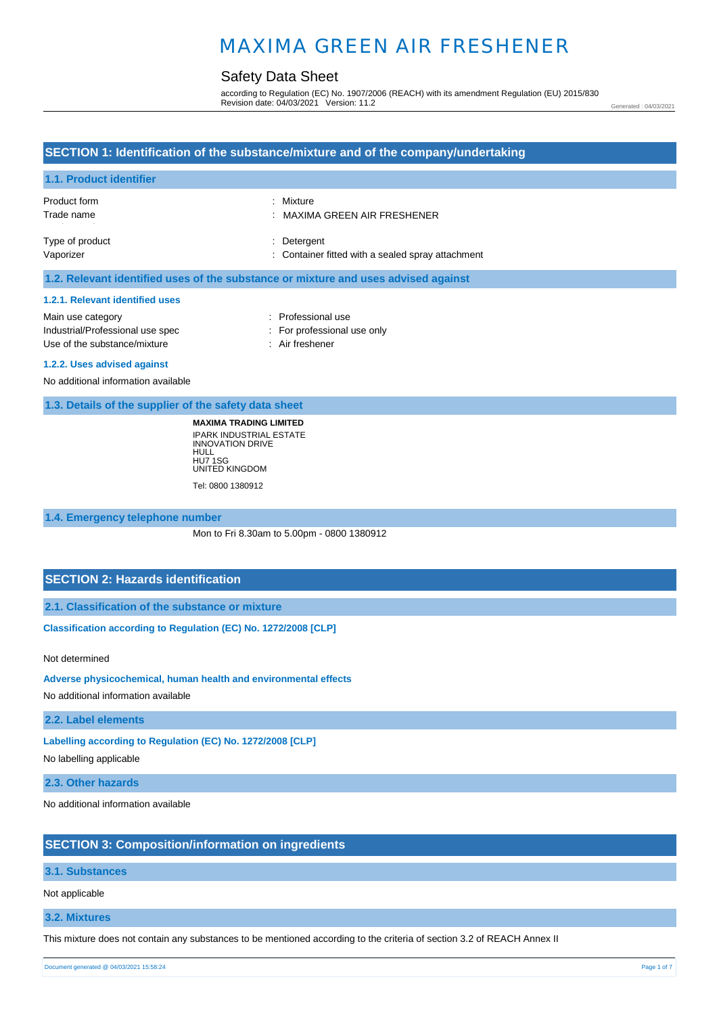### Safety Data Sheet

according to Regulation (EC) No. 1907/2006 (REACH) with its amendment Regulation (EU) 2015/830 Revision date: 04/03/2021 Version: 11.2

Generated : 04/03/2021

### **SECTION 1: Identification of the substance/mixture and of the company/undertaking 1.1. Product identifier** Product form Trade name Type of product Vaporizer : Mixture : MAXIMA GREEN AIR FRESHENER : Detergent : Container fitted with a sealed spray attachment **1.2. Relevant identified uses of the substance or mixture and uses advised against 1.2.1. Relevant identified uses**  Main use category **Example 20** and the Main use category **in the Contract 20 and 10** and 10 and 10 and 10 and 10 and 10 and 10 and 10 and 10 and 10 and 10 and 10 and 10 and 10 and 10 and 10 and 10 and 10 and 10 and 10 and Industrial/Professional use spec : For professional use only Use of the substance/mixture : Air freshener **1.2.2. Uses advised against**  No additional information available **1.3. Details of the supplier of the safety data sheet MAXIMA TRADING LIMITED**

IPARK INDUSTRIAL ESTATE INNOVATION DRIVE HULL HU7 1SG UNITED KINGDOM Tel: 0800 1380912

#### **1.4. Emergency telephone number**

Mon to Fri 8.30am to 5.00pm - 0800 1380912

### **SECTION 2: Hazards identification**

**2.1. Classification of the substance or mixture**

**Classification according to Regulation (EC) No. 1272/2008 [CLP]** 

Not determined

**Adverse physicochemical, human health and environmental effects** 

No additional information available

**2.2. Label elements**

**Labelling according to Regulation (EC) No. 1272/2008 [CLP]** 

No labelling applicable

**2.3. Other hazards**

No additional information available

#### **SECTION 3: Composition/information on ingredients**

#### **3.1. Substances**

Not applicable

#### **3.2. Mixtures**

This mixture does not contain any substances to be mentioned according to the criteria of section 3.2 of REACH Annex II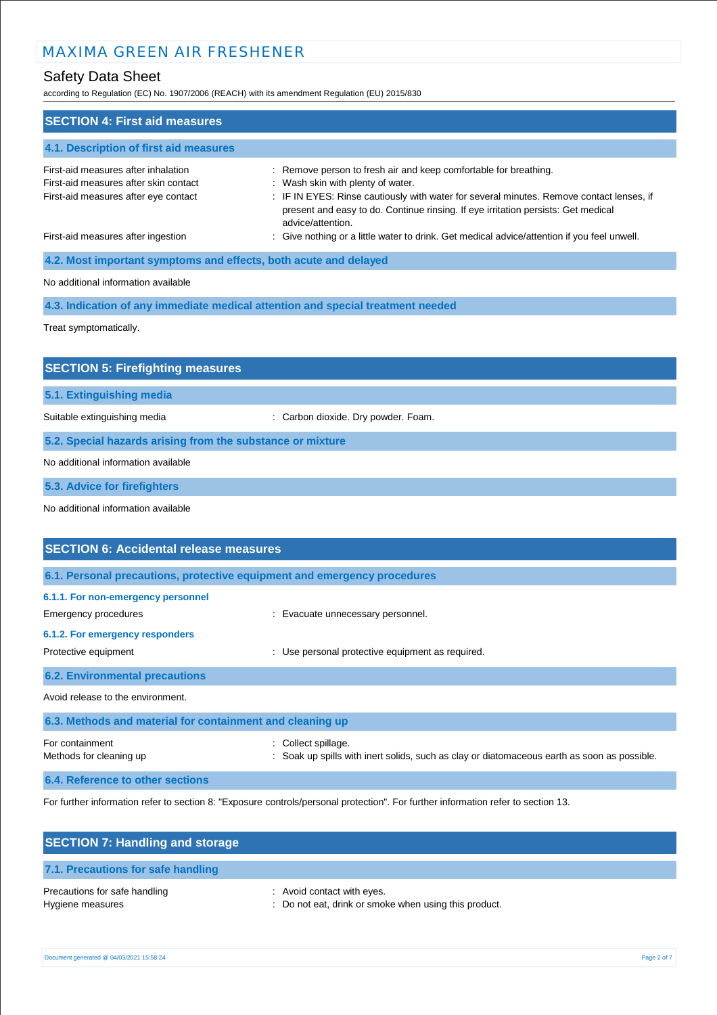# Safety Data Sheet

according to  $R = \frac{1}{2}$   $\frac{1}{2}$   $\frac{1}{2}$   $\frac{1}{2}$   $\frac{1}{2}$   $\frac{1}{2}$   $\frac{1}{2}$   $\frac{1}{2}$   $\frac{1}{2}$   $\frac{1}{2}$   $\frac{1}{2}$   $\frac{1}{2}$   $\frac{1}{2}$   $\frac{1}{2}$   $\frac{1}{2}$   $\frac{1}{2}$   $\frac{1}{2}$   $\frac{1}{2}$   $\frac{1}{2}$   $\frac{1}{2}$   $\frac{1}{$ 

| according to Regulation (EC) No. 1907/2006 (REACH) with its amendment Regulation (EU) 2015/630                       |                                                                                                                                                                                                                                                                                                             |
|----------------------------------------------------------------------------------------------------------------------|-------------------------------------------------------------------------------------------------------------------------------------------------------------------------------------------------------------------------------------------------------------------------------------------------------------|
| <b>SECTION 4: First aid measures</b>                                                                                 |                                                                                                                                                                                                                                                                                                             |
| 4.1. Description of first aid measures                                                                               |                                                                                                                                                                                                                                                                                                             |
| First-aid measures after inhalation<br>First-aid measures after skin contact<br>First-aid measures after eye contact | : Remove person to fresh air and keep comfortable for breathing.<br>: Wash skin with plenty of water.<br>: IF IN EYES: Rinse cautiously with water for several minutes. Remove contact lenses, if<br>present and easy to do. Continue rinsing. If eye irritation persists: Get medical<br>advice/attention. |
| First-aid measures after ingestion                                                                                   | : Give nothing or a little water to drink. Get medical advice/attention if you feel unwell.                                                                                                                                                                                                                 |
| 4.2. Most important symptoms and effects, both acute and delayed                                                     |                                                                                                                                                                                                                                                                                                             |
| No additional information available                                                                                  |                                                                                                                                                                                                                                                                                                             |
|                                                                                                                      | 4.3. Indication of any immediate medical attention and special treatment needed                                                                                                                                                                                                                             |
| Treat symptomatically.                                                                                               |                                                                                                                                                                                                                                                                                                             |
| <b>SECTION 5: Firefighting measures</b>                                                                              |                                                                                                                                                                                                                                                                                                             |
| 5.1. Extinguishing media                                                                                             |                                                                                                                                                                                                                                                                                                             |
| Suitable extinguishing media                                                                                         | : Carbon dioxide. Dry powder. Foam.                                                                                                                                                                                                                                                                         |
| 5.2. Special hazards arising from the substance or mixture                                                           |                                                                                                                                                                                                                                                                                                             |
| No additional information available                                                                                  |                                                                                                                                                                                                                                                                                                             |
| 5.3. Advice for firefighters                                                                                         |                                                                                                                                                                                                                                                                                                             |
| No additional information available                                                                                  |                                                                                                                                                                                                                                                                                                             |
| <b>SECTION 6: Accidental release measures</b>                                                                        |                                                                                                                                                                                                                                                                                                             |
| 6.1. Personal precautions, protective equipment and emergency procedures                                             |                                                                                                                                                                                                                                                                                                             |
| 6.1.1. For non-emergency personnel                                                                                   |                                                                                                                                                                                                                                                                                                             |
| <b>Emergency procedures</b>                                                                                          | : Evacuate unnecessary personnel.                                                                                                                                                                                                                                                                           |
| 6.1.2. For emergency responders<br>Protective equipment                                                              | : Use personal protective equipment as required.                                                                                                                                                                                                                                                            |
| <b>6.2. Environmental precautions</b>                                                                                |                                                                                                                                                                                                                                                                                                             |
| Avoid release to the environment.                                                                                    |                                                                                                                                                                                                                                                                                                             |
| 6.3. Methods and material for containment and cleaning up                                                            |                                                                                                                                                                                                                                                                                                             |
| For containment<br>Methods for cleaning up                                                                           | Collect spillage.<br>Soak up spills with inert solids, such as clay or diatomaceous earth as soon as possible.                                                                                                                                                                                              |
| 6.4. Reference to other sections                                                                                     |                                                                                                                                                                                                                                                                                                             |

For further information refer to section 8: "Exposure controls/personal protection". For further information refer to section 13.

| <b>SECTION 7: Handling and storage</b>            |                                                                                     |
|---------------------------------------------------|-------------------------------------------------------------------------------------|
| 7.1. Precautions for safe handling                |                                                                                     |
| Precautions for safe handling<br>Hygiene measures | : Avoid contact with eyes.<br>: Do not eat, drink or smoke when using this product. |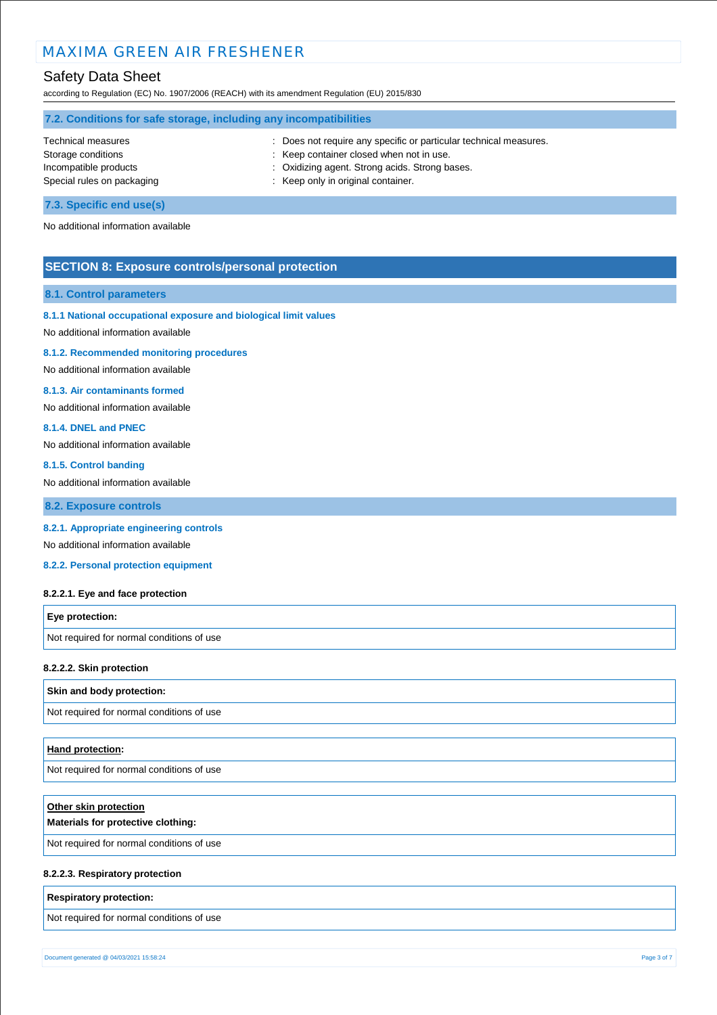### Safety Data Sheet

according to Regulation (EC) No. 1907/2006 (REACH) with its amendment Regulation (EU) 2015/830

| 7.2. Conditions for safe storage, including any incompatibilities |                                                                   |  |
|-------------------------------------------------------------------|-------------------------------------------------------------------|--|
| <b>Technical measures</b>                                         | : Does not require any specific or particular technical measures. |  |
| Storage conditions                                                | : Keep container closed when not in use.                          |  |
| Incompatible products                                             | : Oxidizing agent. Strong acids. Strong bases.                    |  |
| Special rules on packaging                                        | : Keep only in original container.                                |  |
| 7.3. Specific end use(s)                                          |                                                                   |  |

No additional information available

### **SECTION 8: Exposure controls/personal protection**

#### **8.1. Control parameters**

#### **8.1.1 National occupational exposure and biological limit values**

No additional information available

#### **8.1.2. Recommended monitoring procedures**

No additional information available

#### **8.1.3. Air contaminants formed**

No additional information available

#### **8.1.4. DNEL and PNEC**

No additional information available

#### **8.1.5. Control banding**

No additional information available

**8.2. Exposure controls**

#### **8.2.1. Appropriate engineering controls**

No additional information available

**8.2.2. Personal protection equipment** 

#### **8.2.2.1. Eye and face protection**

| <b>Eye protection:</b>                    |  |
|-------------------------------------------|--|
| Not required for normal conditions of use |  |

#### **8.2.2.2. Skin protection**

#### **Skin and body protection:**

Not required for normal conditions of use

#### **Hand protection:**

Not required for normal conditions of use

| Other skin protection<br>Materials for protective clothing: |
|-------------------------------------------------------------|
| Not required for normal conditions of use                   |
|                                                             |

#### **8.2.2.3. Respiratory protection**

#### **Respiratory protection:**

Not required for normal conditions of use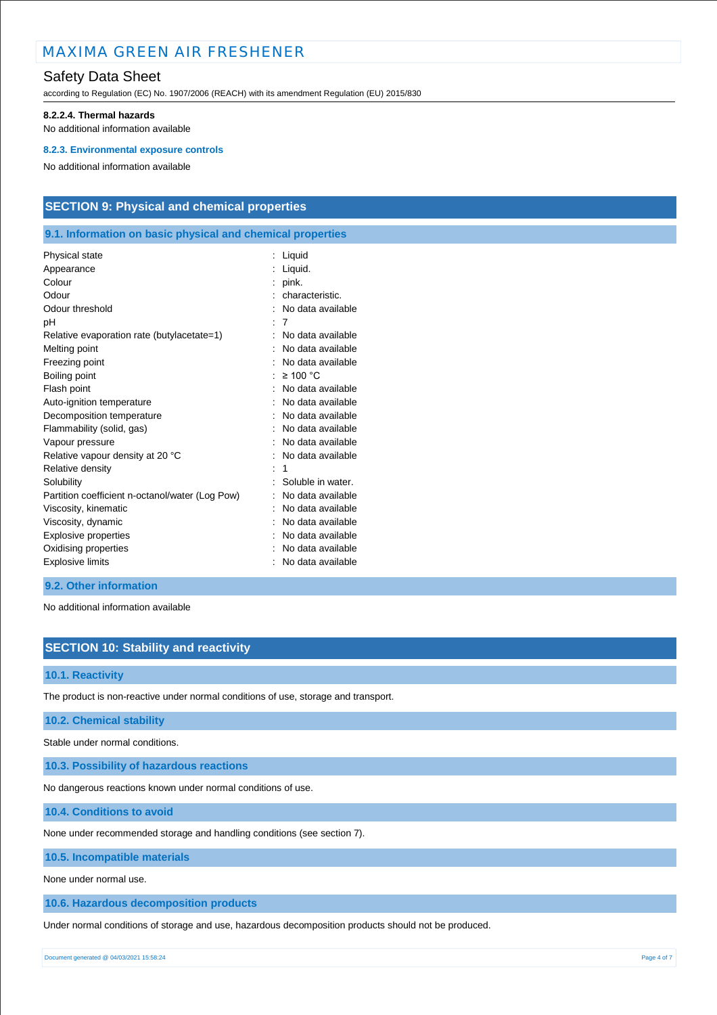### Safety Data Sheet

according to Regulation (EC) No. 1907/2006 (REACH) with its amendment Regulation (EU) 2015/830

#### **8.2.2.4. Thermal hazards**

No additional information available

#### **8.2.3. Environmental exposure controls**

No additional information available

### **SECTION 9: Physical and chemical properties**

#### **9.1. Information on basic physical and chemical properties**

| Liquid.<br>Appearance<br>Colour<br>pink.<br>Odour<br>characteristic.<br>Odour threshold<br>No data available<br>7<br>рH<br>No data available<br>Relative evaporation rate (butylacetate=1) |  |
|--------------------------------------------------------------------------------------------------------------------------------------------------------------------------------------------|--|
|                                                                                                                                                                                            |  |
|                                                                                                                                                                                            |  |
|                                                                                                                                                                                            |  |
|                                                                                                                                                                                            |  |
|                                                                                                                                                                                            |  |
|                                                                                                                                                                                            |  |
| Melting point<br>No data available                                                                                                                                                         |  |
| Freezing point<br>No data available                                                                                                                                                        |  |
| Boiling point<br>$\geq 100$ °C                                                                                                                                                             |  |
| No data available<br>Flash point                                                                                                                                                           |  |
| Auto-ignition temperature<br>No data available                                                                                                                                             |  |
| No data available<br>Decomposition temperature                                                                                                                                             |  |
| Flammability (solid, gas)<br>No data available                                                                                                                                             |  |
| No data available<br>Vapour pressure                                                                                                                                                       |  |
| Relative vapour density at 20 °C<br>No data available                                                                                                                                      |  |
| Relative density<br>1                                                                                                                                                                      |  |
| Soluble in water.<br>Solubility                                                                                                                                                            |  |
| Partition coefficient n-octanol/water (Log Pow)<br>No data available                                                                                                                       |  |
| No data available<br>Viscosity, kinematic                                                                                                                                                  |  |
| Viscosity, dynamic<br>No data available                                                                                                                                                    |  |
| Explosive properties<br>No data available                                                                                                                                                  |  |
| Oxidising properties<br>No data available                                                                                                                                                  |  |
| <b>Explosive limits</b><br>No data available                                                                                                                                               |  |

#### **9.2. Other information**

No additional information available

### **SECTION 10: Stability and reactivity**

#### **10.1. Reactivity**

The product is non-reactive under normal conditions of use, storage and transport.

#### **10.2. Chemical stability**

Stable under normal conditions.

**10.3. Possibility of hazardous reactions**

No dangerous reactions known under normal conditions of use.

**10.4. Conditions to avoid**

None under recommended storage and handling conditions (see section 7).

**10.5. Incompatible materials**

None under normal use.

**10.6. Hazardous decomposition products**

Under normal conditions of storage and use, hazardous decomposition products should not be produced.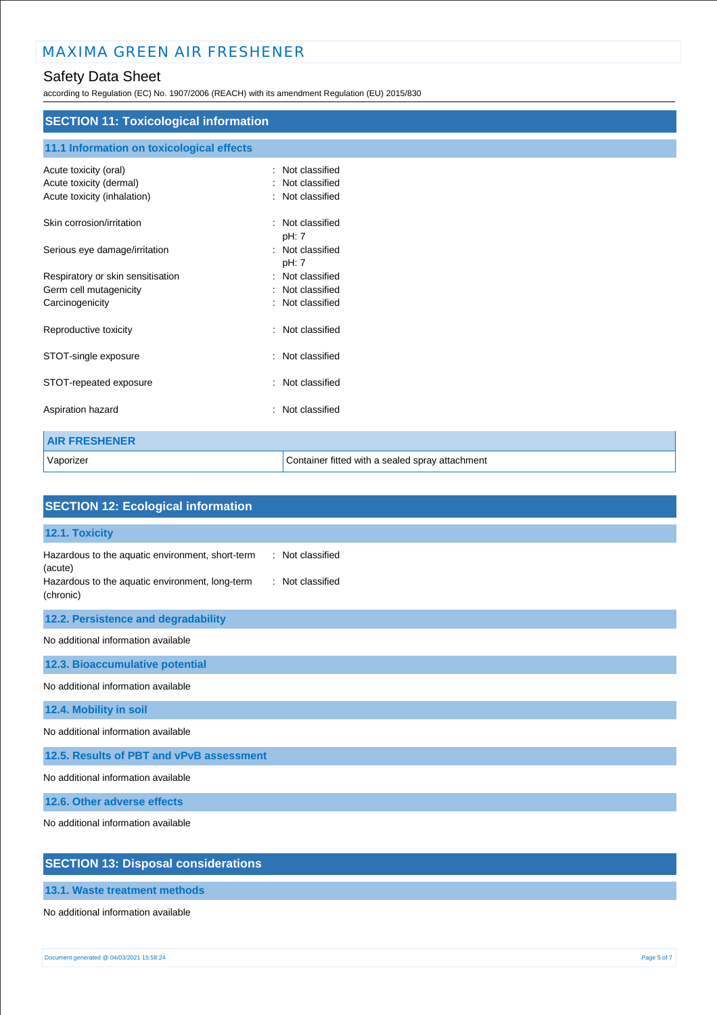## Safety Data Sheet

according to Regulation (EC) No. 1907/2006 (REACH) with its amendment Regulation (EU) 2015/830

| <b>SECTION 11: Toxicological information</b>           |                                                    |  |
|--------------------------------------------------------|----------------------------------------------------|--|
| 11.1 Information on toxicological effects              |                                                    |  |
| Acute toxicity (oral)                                  | Not classified<br>÷                                |  |
| Acute toxicity (dermal)<br>Acute toxicity (inhalation) | Not classified<br>$\bullet$<br>Not classified<br>÷ |  |
| Skin corrosion/irritation                              | : Not classified<br>pH: 7                          |  |
| Serious eye damage/irritation                          | : Not classified<br>pH: 7                          |  |
| Respiratory or skin sensitisation                      | Not classified<br>÷                                |  |
| Germ cell mutagenicity                                 | Not classified                                     |  |
| Carcinogenicity                                        | Not classified                                     |  |
| Reproductive toxicity                                  | Not classified<br>$\overline{\phantom{a}}$         |  |
| STOT-single exposure                                   | Not classified<br>$\ddot{\phantom{a}}$             |  |
| STOT-repeated exposure                                 | Not classified<br>۰                                |  |
| Aspiration hazard                                      | Not classified<br>÷                                |  |
| <b>AIR FRESHENER</b>                                   |                                                    |  |
| Vaporizer                                              | Container fitted with a sealed spray attachment    |  |

| <b>SECTION 12: Ecological information</b>                                                                                                                           |
|---------------------------------------------------------------------------------------------------------------------------------------------------------------------|
| 12.1. Toxicity                                                                                                                                                      |
| Hazardous to the aquatic environment, short-term<br>: Not classified<br>(acute)<br>: Not classified<br>Hazardous to the aquatic environment, long-term<br>(chronic) |
| 12.2. Persistence and degradability                                                                                                                                 |
| No additional information available                                                                                                                                 |
| 12.3. Bioaccumulative potential                                                                                                                                     |
| No additional information available                                                                                                                                 |
| 12.4. Mobility in soil                                                                                                                                              |
| No additional information available                                                                                                                                 |
| 12.5. Results of PBT and vPvB assessment                                                                                                                            |
| No additional information available                                                                                                                                 |
| 12.6. Other adverse effects                                                                                                                                         |
| No additional information available                                                                                                                                 |
| <b>SECTION 13: Disposal considerations</b>                                                                                                                          |

**13.1. Waste treatment methods**

No additional information available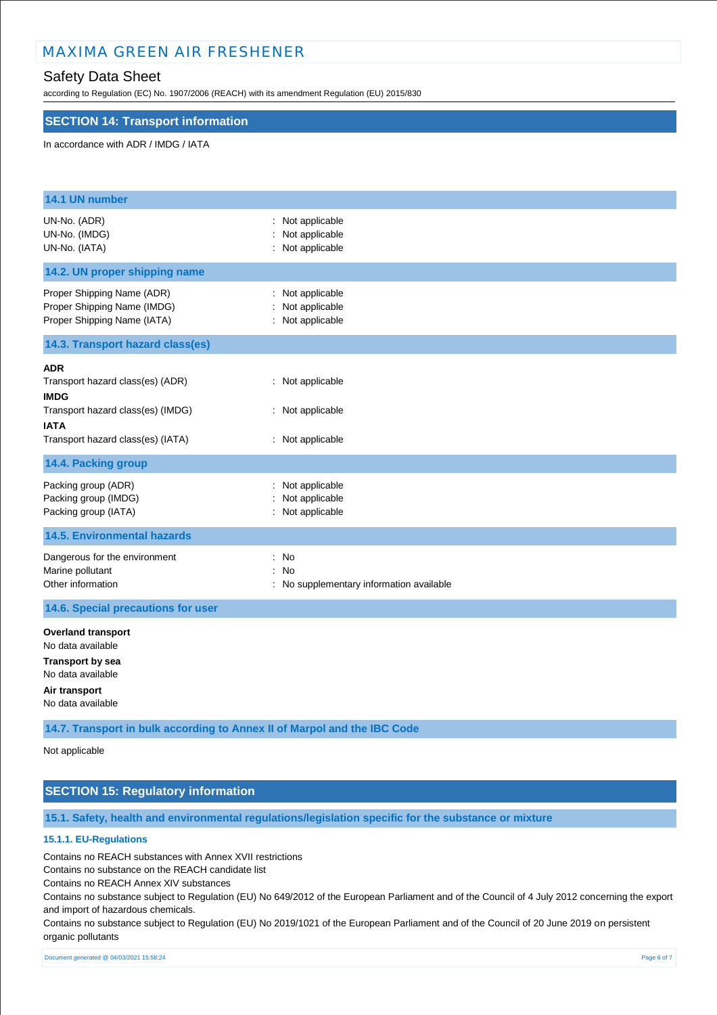### Safety Data Sheet

according to Regulation (EC) No. 1907/2006 (REACH) with its amendment Regulation (EU) 2015/830

#### **SECTION 14: Transport information**

#### In accordance with ADR / IMDG / IATA

| 14.1 UN number                                                                                                                                         |                                                          |
|--------------------------------------------------------------------------------------------------------------------------------------------------------|----------------------------------------------------------|
| UN-No. (ADR)<br>UN-No. (IMDG)<br>UN-No. (IATA)                                                                                                         | : Not applicable<br>: Not applicable<br>: Not applicable |
| 14.2. UN proper shipping name                                                                                                                          |                                                          |
| Proper Shipping Name (ADR)<br>Proper Shipping Name (IMDG)<br>Proper Shipping Name (IATA)                                                               | : Not applicable<br>Not applicable<br>: Not applicable   |
| 14.3. Transport hazard class(es)                                                                                                                       |                                                          |
| <b>ADR</b><br>Transport hazard class(es) (ADR)<br><b>IMDG</b><br>Transport hazard class(es) (IMDG)<br><b>IATA</b><br>Transport hazard class(es) (IATA) | : Not applicable<br>: Not applicable<br>: Not applicable |
| 14.4. Packing group                                                                                                                                    |                                                          |
| Packing group (ADR)<br>Packing group (IMDG)<br>Packing group (IATA)                                                                                    | : Not applicable<br>: Not applicable<br>: Not applicable |
| <b>14.5. Environmental hazards</b>                                                                                                                     |                                                          |
| Dangerous for the environment<br>Marine pollutant<br>Other information                                                                                 | : No<br>: No<br>: No supplementary information available |
| 14.6. Special precautions for user                                                                                                                     |                                                          |
| <b>Overland transport</b><br>No data available<br><b>Transport by sea</b><br>No data available<br>Air transport                                        |                                                          |
| No data available                                                                                                                                      |                                                          |

**14.7. Transport in bulk according to Annex II of Marpol and the IBC Code**

Not applicable

### **SECTION 15: Regulatory information**

**15.1. Safety, health and environmental regulations/legislation specific for the substance or mixture**

### **15.1.1. EU-Regulations**

Contains no REACH substances with Annex XVII restrictions

Contains no substance on the REACH candidate list

Contains no REACH Annex XIV substances

Contains no substance subject to Regulation (EU) No 649/2012 of the European Parliament and of the Council of 4 July 2012 concerning the export and import of hazardous chemicals.

Contains no substance subject to Regulation (EU) No 2019/1021 of the European Parliament and of the Council of 20 June 2019 on persistent organic pollutants